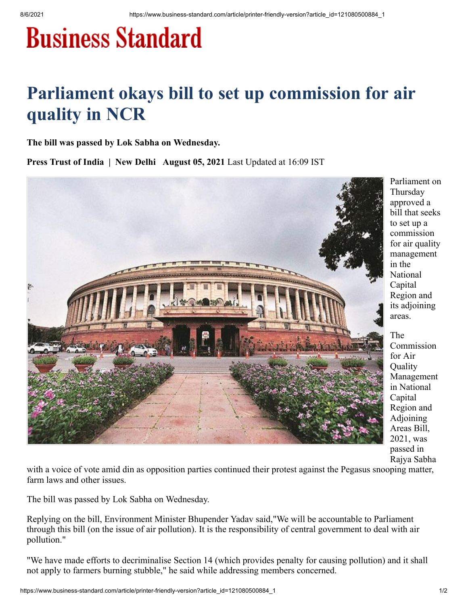## **Business Standard**

## **Parliament okays bill to set up commission for air quality in NCR**

**The bill was passed by Lok Sabha on Wednesday.**

**Press Trust of India | New Delhi August 05, 2021** Last Updated at 16:09 IST



Parliament on Thursday approved a bill that seeks to set up a commission for air quality management in the National Capital Region and its adjoining areas.

The Commission for Air Quality Management in National Capital Region and Adjoining Areas Bill, 2021, was passed in Rajya Sabha

with a voice of vote amid din as opposition parties continued their protest against the Pegasus snooping matter, farm laws and other issues.

The bill was passed by Lok Sabha on Wednesday.

Replying on the bill, Environment Minister Bhupender Yadav said,"We will be accountable to Parliament through this bill (on the issue of air pollution). It is the responsibility of central government to deal with air pollution."

"We have made efforts to decriminalise Section 14 (which provides penalty for causing pollution) and it shall not apply to farmers burning stubble," he said while addressing members concerned.